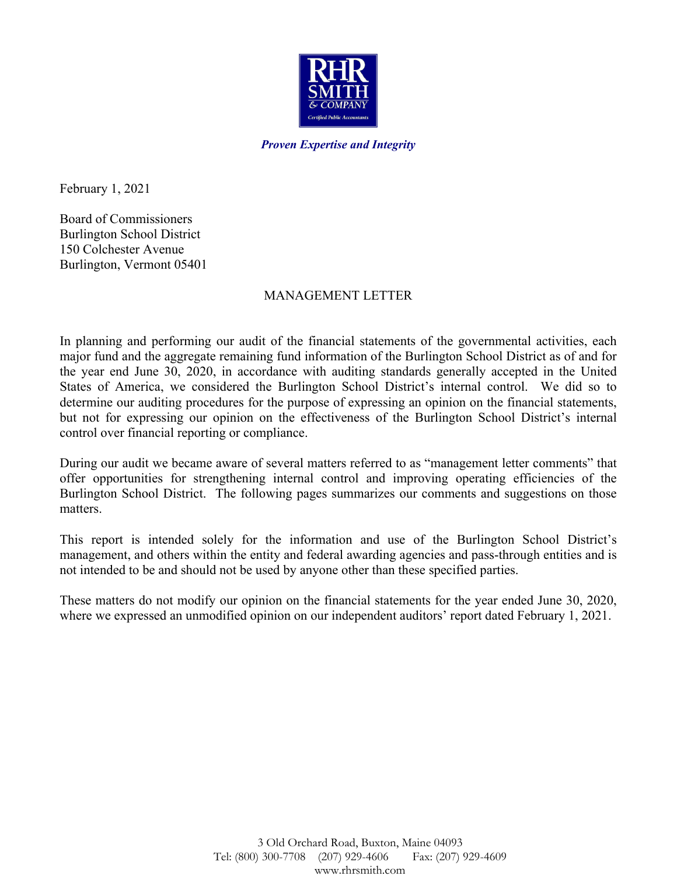

*Proven Expertise and Integrity*

February 1, 2021

Board of Commissioners Burlington School District 150 Colchester Avenue Burlington, Vermont 05401

### MANAGEMENT LETTER

In planning and performing our audit of the financial statements of the governmental activities, each major fund and the aggregate remaining fund information of the Burlington School District as of and for the year end June 30, 2020, in accordance with auditing standards generally accepted in the United States of America, we considered the Burlington School District's internal control. We did so to determine our auditing procedures for the purpose of expressing an opinion on the financial statements, but not for expressing our opinion on the effectiveness of the Burlington School District's internal control over financial reporting or compliance.

During our audit we became aware of several matters referred to as "management letter comments" that offer opportunities for strengthening internal control and improving operating efficiencies of the Burlington School District. The following pages summarizes our comments and suggestions on those matters.

This report is intended solely for the information and use of the Burlington School District's management, and others within the entity and federal awarding agencies and pass-through entities and is not intended to be and should not be used by anyone other than these specified parties.

These matters do not modify our opinion on the financial statements for the year ended June 30, 2020, where we expressed an unmodified opinion on our independent auditors' report dated February 1, 2021.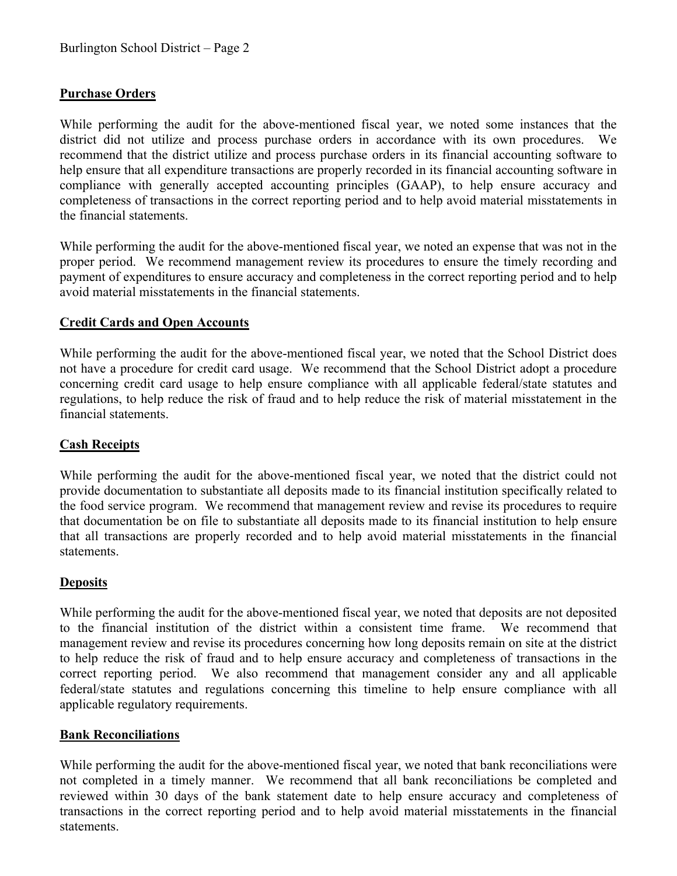# **Purchase Orders**

While performing the audit for the above-mentioned fiscal year, we noted some instances that the district did not utilize and process purchase orders in accordance with its own procedures. We recommend that the district utilize and process purchase orders in its financial accounting software to help ensure that all expenditure transactions are properly recorded in its financial accounting software in compliance with generally accepted accounting principles (GAAP), to help ensure accuracy and completeness of transactions in the correct reporting period and to help avoid material misstatements in the financial statements.

While performing the audit for the above-mentioned fiscal year, we noted an expense that was not in the proper period. We recommend management review its procedures to ensure the timely recording and payment of expenditures to ensure accuracy and completeness in the correct reporting period and to help avoid material misstatements in the financial statements.

# **Credit Cards and Open Accounts**

While performing the audit for the above-mentioned fiscal year, we noted that the School District does not have a procedure for credit card usage. We recommend that the School District adopt a procedure concerning credit card usage to help ensure compliance with all applicable federal/state statutes and regulations, to help reduce the risk of fraud and to help reduce the risk of material misstatement in the financial statements.

## **Cash Receipts**

While performing the audit for the above-mentioned fiscal year, we noted that the district could not provide documentation to substantiate all deposits made to its financial institution specifically related to the food service program. We recommend that management review and revise its procedures to require that documentation be on file to substantiate all deposits made to its financial institution to help ensure that all transactions are properly recorded and to help avoid material misstatements in the financial statements.

### **Deposits**

While performing the audit for the above-mentioned fiscal year, we noted that deposits are not deposited to the financial institution of the district within a consistent time frame. We recommend that management review and revise its procedures concerning how long deposits remain on site at the district to help reduce the risk of fraud and to help ensure accuracy and completeness of transactions in the correct reporting period. We also recommend that management consider any and all applicable federal/state statutes and regulations concerning this timeline to help ensure compliance with all applicable regulatory requirements.

### **Bank Reconciliations**

While performing the audit for the above-mentioned fiscal year, we noted that bank reconciliations were not completed in a timely manner. We recommend that all bank reconciliations be completed and reviewed within 30 days of the bank statement date to help ensure accuracy and completeness of transactions in the correct reporting period and to help avoid material misstatements in the financial statements.